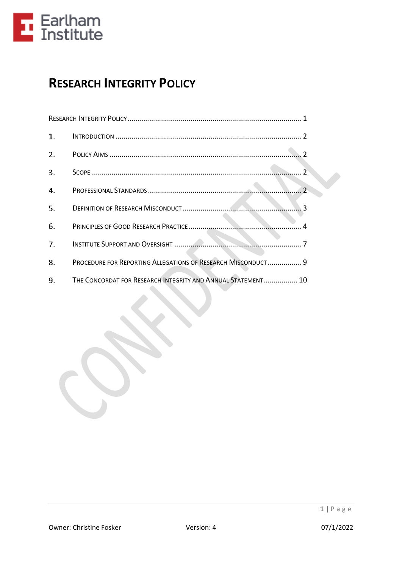

# <span id="page-0-0"></span>**RESEARCH INTEGRITY POLICY**

| 1. |                                                              |
|----|--------------------------------------------------------------|
| 2. |                                                              |
| 3. | $\mathcal{P}$                                                |
| 4. | $\mathcal{P}$                                                |
| 5. |                                                              |
| 6. |                                                              |
| 7. |                                                              |
| 8. | PROCEDURE FOR REPORTING ALLEGATIONS OF RESEARCH MISCONDUCT 9 |
| 9. | THE CONCORDAT FOR RESEARCH INTEGRITY AND ANNUAL STATEMENT 10 |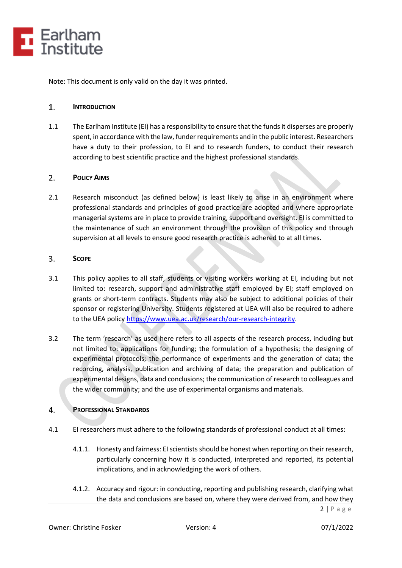

Note: This document is only valid on the day it was printed.

#### <span id="page-1-0"></span> $1.$ **INTRODUCTION**

1.1 The Earlham Institute (EI) has a responsibility to ensure that the funds it disperses are properly spent, in accordance with the law, funder requirements and in the public interest. Researchers have a duty to their profession, to EI and to research funders, to conduct their research according to best scientific practice and the highest professional standards.

### <span id="page-1-1"></span> $2.$ **POLICY AIMS**

2.1 Research misconduct (as defined below) is least likely to arise in an environment where professional standards and principles of good practice are adopted and where appropriate managerial systems are in place to provide training, support and oversight. EI is committed to the maintenance of such an environment through the provision of this policy and through supervision at all levels to ensure good research practice is adhered to at all times.

### <span id="page-1-2"></span> $3.$ **SCOPE**

- 3.1 This policy applies to all staff, students or visiting workers working at EI, including but not limited to: research, support and administrative staff employed by EI; staff employed on grants or short-term contracts. Students may also be subject to additional policies of their sponsor or registering University. Students registered at UEA will also be required to adhere to the UEA policy [https://www.uea.ac.uk/research/our-research-integrity.](https://www.uea.ac.uk/research/our-research-integrity)
- 3.2 The term 'research' as used here refers to all aspects of the research process, including but not limited to: applications for funding; the formulation of a hypothesis; the designing of experimental protocols; the performance of experiments and the generation of data; the recording, analysis, publication and archiving of data; the preparation and publication of experimental designs, data and conclusions; the communication of research to colleagues and the wider community; and the use of experimental organisms and materials.

### <span id="page-1-3"></span> $4.$ **PROFESSIONAL STANDARDS**

- 4.1 EI researchers must adhere to the following standards of professional conduct at all times:
	- 4.1.1. Honesty and fairness: EI scientists should be honest when reporting on their research, particularly concerning how it is conducted, interpreted and reported, its potential implications, and in acknowledging the work of others.
	- 4.1.2. Accuracy and rigour: in conducting, reporting and publishing research, clarifying what the data and conclusions are based on, where they were derived from, and how they

 $2 | P \text{ age}$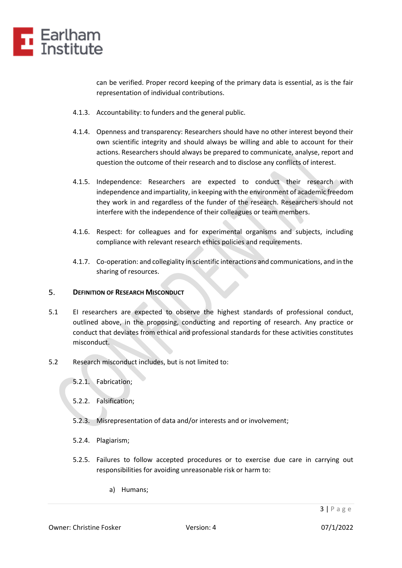

can be verified. Proper record keeping of the primary data is essential, as is the fair representation of individual contributions.

- 4.1.3. Accountability: to funders and the general public.
- 4.1.4. Openness and transparency: Researchers should have no other interest beyond their own scientific integrity and should always be willing and able to account for their actions. Researchers should always be prepared to communicate, analyse, report and question the outcome of their research and to disclose any conflicts of interest.
- 4.1.5. Independence: Researchers are expected to conduct their research with independence and impartiality, in keeping with the environment of academic freedom they work in and regardless of the funder of the research. Researchers should not interfere with the independence of their colleagues or team members.
- 4.1.6. Respect: for colleagues and for experimental organisms and subjects, including compliance with relevant research ethics policies and requirements.
- 4.1.7. Co-operation: and collegiality in scientific interactions and communications, and in the sharing of resources.

### <span id="page-2-0"></span>5. **DEFINITION OF RESEARCH MISCONDUCT**

- 5.1 EI researchers are expected to observe the highest standards of professional conduct, outlined above, in the proposing, conducting and reporting of research. Any practice or conduct that deviates from ethical and professional standards for these activities constitutes misconduct.
- 5.2 Research misconduct includes, but is not limited to:
	- 5.2.1. Fabrication;
	- 5.2.2. Falsification;
	- 5.2.3. Misrepresentation of data and/or interests and or involvement;
	- 5.2.4. Plagiarism;
	- 5.2.5. Failures to follow accepted procedures or to exercise due care in carrying out responsibilities for avoiding unreasonable risk or harm to:
		- a) Humans;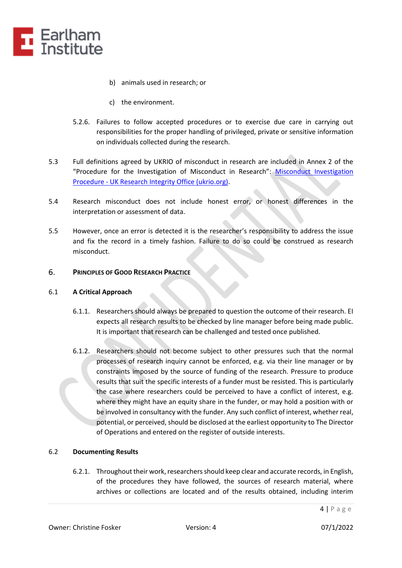

- b) animals used in research; or
- c) the environment.
- 5.2.6. Failures to follow accepted procedures or to exercise due care in carrying out responsibilities for the proper handling of privileged, private or sensitive information on individuals collected during the research.
- 5.3 Full definitions agreed by UKRIO of misconduct in research are included in Annex 2 of the "Procedure for the Investigation of Misconduct in Research": [Misconduct Investigation](https://ukrio.org/publications/misconduct-investigation-procedure/)  Procedure - [UK Research Integrity Office \(ukrio.org\).](https://ukrio.org/publications/misconduct-investigation-procedure/)
- 5.4 Research misconduct does not include honest error, or honest differences in the interpretation or assessment of data.
- 5.5 However, once an error is detected it is the researcher's responsibility to address the issue and fix the record in a timely fashion. Failure to do so could be construed as research misconduct.

### <span id="page-3-0"></span> $6.$ **PRINCIPLES OF GOOD RESEARCH PRACTICE**

### 6.1 **A Critical Approach**

- 6.1.1. Researchers should always be prepared to question the outcome of their research. EI expects all research results to be checked by line manager before being made public. It is important that research can be challenged and tested once published.
- 6.1.2. Researchers should not become subject to other pressures such that the normal processes of research inquiry cannot be enforced, e.g. via their line manager or by constraints imposed by the source of funding of the research. Pressure to produce results that suit the specific interests of a funder must be resisted. This is particularly the case where researchers could be perceived to have a conflict of interest, e.g. where they might have an equity share in the funder, or may hold a position with or be involved in consultancy with the funder. Any such conflict of interest, whether real, potential, or perceived, should be disclosed at the earliest opportunity to The Director of Operations and entered on the register of outside interests.

# 6.2 **Documenting Results**

6.2.1. Throughout their work, researchers should keep clear and accurate records, in English, of the procedures they have followed, the sources of research material, where archives or collections are located and of the results obtained, including interim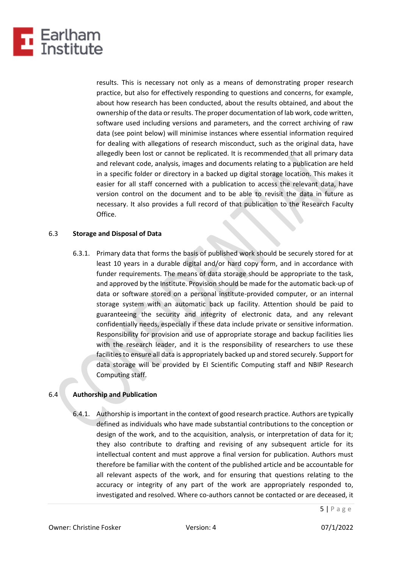

results. This is necessary not only as a means of demonstrating proper research practice, but also for effectively responding to questions and concerns, for example, about how research has been conducted, about the results obtained, and about the ownership of the data or results. The proper documentation of lab work, code written, software used including versions and parameters, and the correct archiving of raw data (see point below) will minimise instances where essential information required for dealing with allegations of research misconduct, such as the original data, have allegedly been lost or cannot be replicated. It is recommended that all primary data and relevant code, analysis, images and documents relating to a publication are held in a specific folder or directory in a backed up digital storage location. This makes it easier for all staff concerned with a publication to access the relevant data, have version control on the document and to be able to revisit the data in future as necessary. It also provides a full record of that publication to the Research Faculty Office.

### 6.3 **Storage and Disposal of Data**

6.3.1. Primary data that forms the basis of published work should be securely stored for at least 10 years in a durable digital and/or hard copy form, and in accordance with funder requirements. The means of data storage should be appropriate to the task, and approved by the Institute. Provision should be made for the automatic back-up of data or software stored on a personal institute-provided computer, or an internal storage system with an automatic back up facility. Attention should be paid to guaranteeing the security and integrity of electronic data, and any relevant confidentially needs, especially if these data include private or sensitive information. Responsibility for provision and use of appropriate storage and backup facilities lies with the research leader, and it is the responsibility of researchers to use these facilities to ensure all data is appropriately backed up and stored securely. Support for data storage will be provided by EI Scientific Computing staff and NBIP Research Computing staff.

# 6.4 **Authorship and Publication**

6.4.1. Authorship is important in the context of good research practice. Authors are typically defined as individuals who have made substantial contributions to the conception or design of the work, and to the acquisition, analysis, or interpretation of data for it; they also contribute to drafting and revising of any subsequent article for its intellectual content and must approve a final version for publication. Authors must therefore be familiar with the content of the published article and be accountable for all relevant aspects of the work, and for ensuring that questions relating to the accuracy or integrity of any part of the work are appropriately responded to, investigated and resolved. Where co-authors cannot be contacted or are deceased, it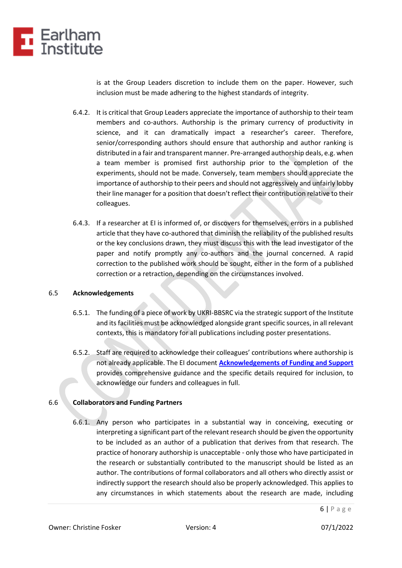

is at the Group Leaders discretion to include them on the paper. However, such inclusion must be made adhering to the highest standards of integrity.

- 6.4.2. It is critical that Group Leaders appreciate the importance of authorship to their team members and co-authors. Authorship is the primary currency of productivity in science, and it can dramatically impact a researcher's career. Therefore, senior/corresponding authors should ensure that authorship and author ranking is distributed in a fair and transparent manner. Pre-arranged authorship deals, e.g. when a team member is promised first authorship prior to the completion of the experiments, should not be made. Conversely, team members should appreciate the importance of authorship to their peers and should not aggressively and unfairly lobby their line manager for a position that doesn't reflect their contribution relative to their colleagues.
- 6.4.3. If a researcher at EI is informed of, or discovers for themselves, errors in a published article that they have co-authored that diminish the reliability of the published results or the key conclusions drawn, they must discuss this with the lead investigator of the paper and notify promptly any co-authors and the journal concerned. A rapid correction to the published work should be sought, either in the form of a published correction or a retraction, depending on the circumstances involved.

### 6.5 **Acknowledgements**

- 6.5.1. The funding of a piece of work by UKRI-BBSRC via the strategic support of the Institute and its facilities must be acknowledged alongside grant specific sources, in all relevant contexts, this is mandatory for all publications including poster presentations.
- 6.5.2. Staff are required to acknowledge their colleagues' contributions where authorship is not already applicable. The EI document **[Acknowledgements of Funding and Support](https://intranet.nbi.ac.uk/cms/6648)** provides comprehensive guidance and the specific details required for inclusion, to acknowledge our funders and colleagues in full.

# 6.6 **Collaborators and Funding Partners**

6.6.1. Any person who participates in a substantial way in conceiving, executing or interpreting a significant part of the relevant research should be given the opportunity to be included as an author of a publication that derives from that research. The practice of honorary authorship is unacceptable - only those who have participated in the research or substantially contributed to the manuscript should be listed as an author. The contributions of formal collaborators and all others who directly assist or indirectly support the research should also be properly acknowledged. This applies to any circumstances in which statements about the research are made, including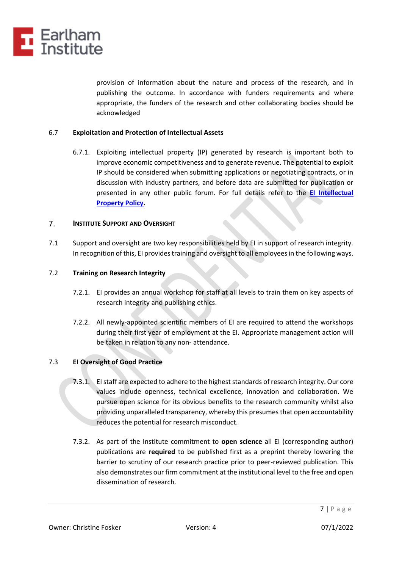

provision of information about the nature and process of the research, and in publishing the outcome. In accordance with funders requirements and where appropriate, the funders of the research and other collaborating bodies should be acknowledged

### 6.7 **Exploitation and Protection of Intellectual Assets**

6.7.1. Exploiting intellectual property (IP) generated by research is important both to improve economic competitiveness and to generate revenue. The potential to exploit IP should be considered when submitting applications or negotiating contracts, or in discussion with industry partners, and before data are submitted for publication or presented in any other public forum. For full details refer to the **[EI Intellectual](https://intranet.nbi.ac.uk/cms/6648)  [Property Policy.](https://intranet.nbi.ac.uk/cms/6648)**

### <span id="page-6-0"></span> $7.$ **INSTITUTE SUPPORT AND OVERSIGHT**

7.1 Support and oversight are two key responsibilities held by EI in support of research integrity. In recognition of this, EI provides training and oversight to all employees in the following ways.

# 7.2 **Training on Research Integrity**

- 7.2.1. EI provides an annual workshop for staff at all levels to train them on key aspects of research integrity and publishing ethics.
- 7.2.2. All newly-appointed scientific members of EI are required to attend the workshops during their first year of employment at the EI. Appropriate management action will be taken in relation to any non- attendance.

# 7.3 **EI Oversight of Good Practice**

- 7.3.1. EI staff are expected to adhere to the highest standards of research integrity. Our core values include openness, technical excellence, innovation and collaboration. We pursue open science for its obvious benefits to the research community whilst also providing unparalleled transparency, whereby this presumes that open accountability reduces the potential for research misconduct.
- 7.3.2. As part of the Institute commitment to **open science** all EI (corresponding author) publications are **required** to be published first as a preprint thereby lowering the barrier to scrutiny of our research practice prior to peer-reviewed publication. This also demonstrates our firm commitment at the institutional level to the free and open dissemination of research.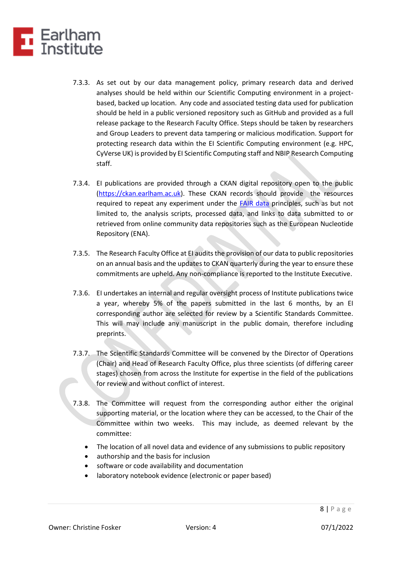

- 7.3.3. As set out by our data management policy, primary research data and derived analyses should be held within our Scientific Computing environment in a projectbased, backed up location. Any code and associated testing data used for publication should be held in a public versioned repository such as GitHub and provided as a full release package to the Research Faculty Office. Steps should be taken by researchers and Group Leaders to prevent data tampering or malicious modification. Support for protecting research data within the EI Scientific Computing environment (e.g. HPC, CyVerse UK) is provided by EI Scientific Computing staff and NBIP Research Computing staff.
- 7.3.4. EI publications are provided through a CKAN digital repository open to the public [\(https://ckan.earlham.ac.uk\)](https://ckan.earlham.ac.uk/). These CKAN records should provide the resources required to repeat any experiment under the [FAIR data](https://www.go-fair.org/fair-principles/) principles, such as but not limited to, the analysis scripts, processed data, and links to data submitted to or retrieved from online community data repositories such as the European Nucleotide Repository (ENA).
- 7.3.5. The Research Faculty Office at EI audits the provision of our data to public repositories on an annual basis and the updates to CKAN quarterly during the year to ensure these commitments are upheld. Any non-compliance is reported to the Institute Executive.
- 7.3.6. EI undertakes an internal and regular oversight process of Institute publications twice a year, whereby 5% of the papers submitted in the last 6 months, by an EI corresponding author are selected for review by a Scientific Standards Committee. This will may include any manuscript in the public domain, therefore including preprints.
- 7.3.7. The Scientific Standards Committee will be convened by the Director of Operations (Chair) and Head of Research Faculty Office, plus three scientists (of differing career stages) chosen from across the Institute for expertise in the field of the publications for review and without conflict of interest.
- 7.3.8. The Committee will request from the corresponding author either the original supporting material, or the location where they can be accessed, to the Chair of the Committee within two weeks. This may include, as deemed relevant by the committee:
	- The location of all novel data and evidence of any submissions to public repository
	- authorship and the basis for inclusion
	- software or code availability and documentation
	- laboratory notebook evidence (electronic or paper based)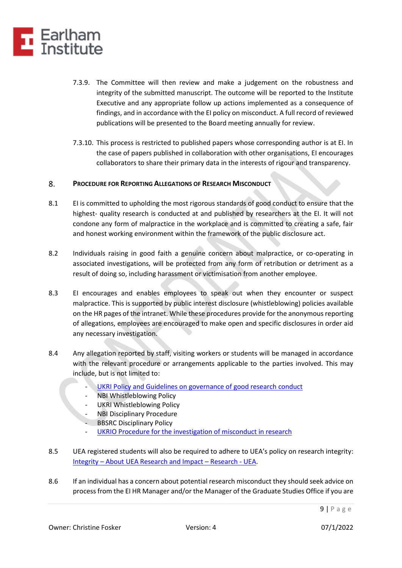

- 7.3.9. The Committee will then review and make a judgement on the robustness and integrity of the submitted manuscript. The outcome will be reported to the Institute Executive and any appropriate follow up actions implemented as a consequence of findings, and in accordance with the EI policy on misconduct. A full record of reviewed publications will be presented to the Board meeting annually for review.
- 7.3.10. This process is restricted to published papers whose corresponding author is at EI. In the case of papers published in collaboration with other organisations, EI encourages collaborators to share their primary data in the interests of rigour and transparency.

### <span id="page-8-0"></span>8. **PROCEDURE FOR REPORTING ALLEGATIONS OF RESEARCH MISCONDUCT**

- 8.1 El is committed to upholding the most rigorous standards of good conduct to ensure that the highest- quality research is conducted at and published by researchers at the EI. It will not condone any form of malpractice in the workplace and is committed to creating a safe, fair and honest working environment within the framework of the public disclosure act.
- 8.2 Individuals raising in good faith a genuine concern about malpractice, or co-operating in associated investigations, will be protected from any form of retribution or detriment as a result of doing so, including harassment or victimisation from another employee.
- 8.3 EI encourages and enables employees to speak out when they encounter or suspect malpractice. This is supported by public interest disclosure (whistleblowing) policies available on the HR pages of the intranet. While these procedures provide for the anonymous reporting of allegations, employees are encouraged to make open and specific disclosures in order aid any necessary investigation.
- 8.4 Any allegation reported by staff, visiting workers or students will be managed in accordance with the relevant procedure or arrangements applicable to the parties involved. This may include, but is not limited to:
	- [UKRI Policy and Guidelines on governance of good research](https://www.ukri.org/wp-content/uploads/2021/03/UKRI-050321-PolicyGuidelinesGovernanceOfGoodResearchConduct.pdf) conduct
	- **NBI Whistleblowing Policy**
	- UKRI Whistleblowing Policy
	- **NBI Disciplinary Procedure**
	- **BBSRC Disciplinary Policy**
	- [UKRIO Procedure for the investigation of misconduct in research](https://ukrio.org/publications/misconduct-investigation-procedure/)
- 8.5 UEA registered students will also be required to adhere to UEA's policy on research integrity: Integrity – [About UEA Research and Impact](https://www.uea.ac.uk/research/about-uea-research-and-impact/integrity) – Research - UEA.
- 8.6 If an individual has a concern about potential research misconduct they should seek advice on process from the EI HR Manager and/or the Manager of the Graduate Studies Office if you are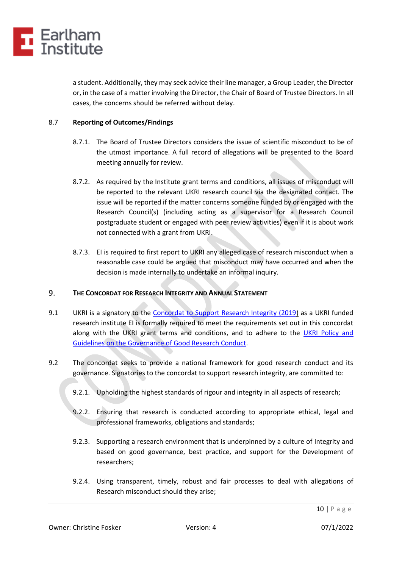

a student. Additionally, they may seek advice their line manager, a Group Leader, the Director or, in the case of a matter involving the Director, the Chair of Board of Trustee Directors. In all cases, the concerns should be referred without delay.

# 8.7 **Reporting of Outcomes/Findings**

- 8.7.1. The Board of Trustee Directors considers the issue of scientific misconduct to be of the utmost importance. A full record of allegations will be presented to the Board meeting annually for review.
- 8.7.2. As required by the Institute grant terms and conditions, all issues of misconduct will be reported to the relevant UKRI research council via the designated contact. The issue will be reported if the matter concerns someone funded by or engaged with the Research Council(s) (including acting as a supervisor for a Research Council postgraduate student or engaged with peer review activities) even if it is about work not connected with a grant from UKRI.
- 8.7.3. EI is required to first report to UKRI any alleged case of research misconduct when a reasonable case could be argued that misconduct may have occurred and when the decision is made internally to undertake an informal inquiry.

### <span id="page-9-0"></span> $9<sub>1</sub>$ **THE CONCORDAT FOR RESEARCH INTEGRITY AND ANNUAL STATEMENT**

- 9.1 UKRI is a signatory to the [Concordat to Support Research Integrity \(2019\)](https://www.universitiesuk.ac.uk/policy-and-analysis/reports/Documents/2019/the-concordat-to-support-research-integrity.pdf) as a UKRI funded research institute EI is formally required to meet the requirements set out in this concordat along with the UKRI grant terms and conditions, and to adhere to the [UKRI Policy and](https://www.ukri.org/about-us/policies-standards-and-data/good-research-resource-hub/research-integrity/)  [Guidelines on the Governance of Good Research Conduct.](https://www.ukri.org/about-us/policies-standards-and-data/good-research-resource-hub/research-integrity/)
- 9.2 The concordat seeks to provide a national framework for good research conduct and its governance. Signatories to the concordat to support research integrity, are committed to:
	- 9.2.1. Upholding the highest standards of rigour and integrity in all aspects of research;
	- 9.2.2. Ensuring that research is conducted according to appropriate ethical, legal and professional frameworks, obligations and standards;
	- 9.2.3. Supporting a research environment that is underpinned by a culture of Integrity and based on good governance, best practice, and support for the Development of researchers;
	- 9.2.4. Using transparent, timely, robust and fair processes to deal with allegations of Research misconduct should they arise;